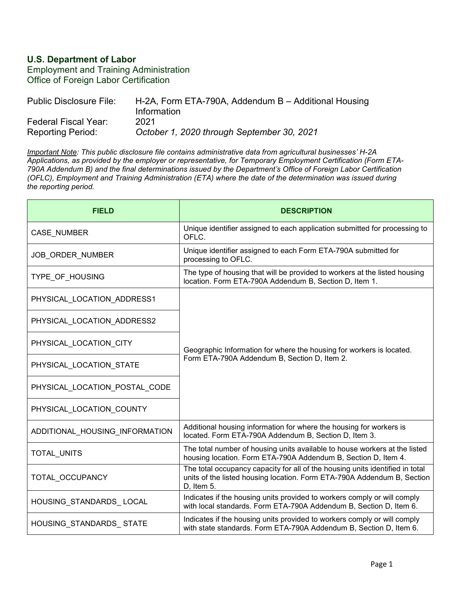## **U.S. Department of Labor**

Employment and Training Administration Office of Foreign Labor Certification

| Public Disclosure File:  | H-2A, Form ETA-790A, Addendum $B -$ Additional Housing<br>Information |
|--------------------------|-----------------------------------------------------------------------|
| Federal Fiscal Year:     | 2021                                                                  |
| <b>Reporting Period:</b> | October 1, 2020 through September 30, 2021                            |

*Important Note: This public disclosure file contains administrative data from agricultural businesses' H-2A Applications, as provided by the employer or representative, for Temporary Employment Certification (Form ETA-790A Addendum B) and the final determinations issued by the Department's Office of Foreign Labor Certification (OFLC), Employment and Training Administration (ETA) where the date of the determination was issued during the reporting period.*

| <b>FIELD</b>                   | <b>DESCRIPTION</b>                                                                                                                                                     |
|--------------------------------|------------------------------------------------------------------------------------------------------------------------------------------------------------------------|
| CASE_NUMBER                    | Unique identifier assigned to each application submitted for processing to<br>OFLC.                                                                                    |
| JOB ORDER NUMBER               | Unique identifier assigned to each Form ETA-790A submitted for<br>processing to OFLC.                                                                                  |
| TYPE_OF_HOUSING                | The type of housing that will be provided to workers at the listed housing<br>location. Form ETA-790A Addendum B, Section D, Item 1.                                   |
| PHYSICAL LOCATION ADDRESS1     | Geographic Information for where the housing for workers is located.<br>Form ETA-790A Addendum B, Section D, Item 2.                                                   |
| PHYSICAL_LOCATION_ADDRESS2     |                                                                                                                                                                        |
| PHYSICAL LOCATION CITY         |                                                                                                                                                                        |
| PHYSICAL_LOCATION_STATE        |                                                                                                                                                                        |
| PHYSICAL LOCATION POSTAL CODE  |                                                                                                                                                                        |
| PHYSICAL_LOCATION_COUNTY       |                                                                                                                                                                        |
| ADDITIONAL_HOUSING_INFORMATION | Additional housing information for where the housing for workers is<br>located. Form ETA-790A Addendum B, Section D, Item 3.                                           |
| TOTAL_UNITS                    | The total number of housing units available to house workers at the listed<br>housing location. Form ETA-790A Addendum B, Section D, Item 4.                           |
| TOTAL_OCCUPANCY                | The total occupancy capacity for all of the housing units identified in total<br>units of the listed housing location. Form ETA-790A Addendum B, Section<br>D, Item 5. |
| HOUSING_STANDARDS_LOCAL        | Indicates if the housing units provided to workers comply or will comply<br>with local standards. Form ETA-790A Addendum B, Section D, Item 6.                         |
| HOUSING_STANDARDS_STATE        | Indicates if the housing units provided to workers comply or will comply<br>with state standards. Form ETA-790A Addendum B, Section D, Item 6.                         |